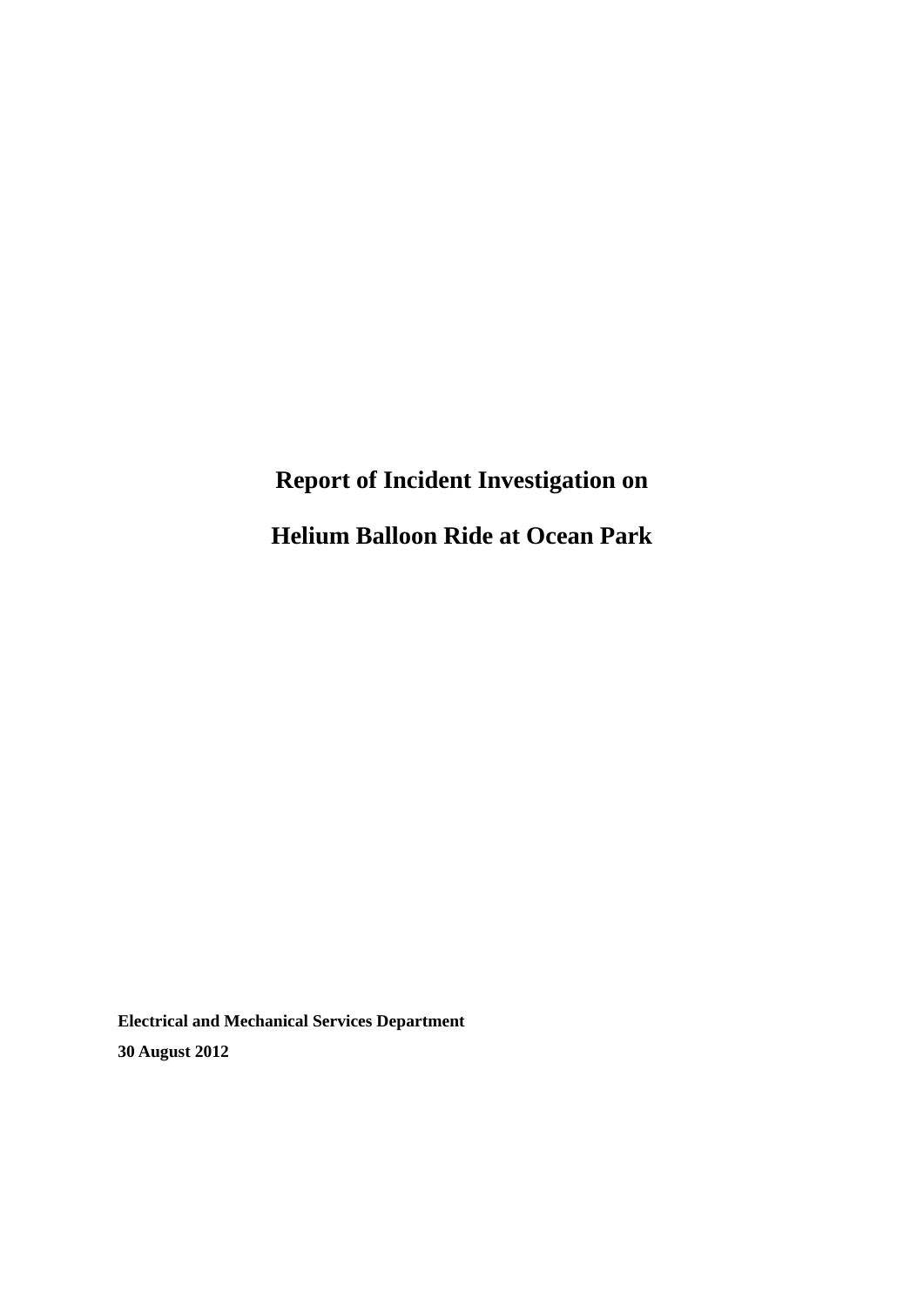# **Report of Incident Investigation on**

**Helium Balloon Ride at Ocean Park** 

**Electrical and Mechanical Services Department 30 August 2012**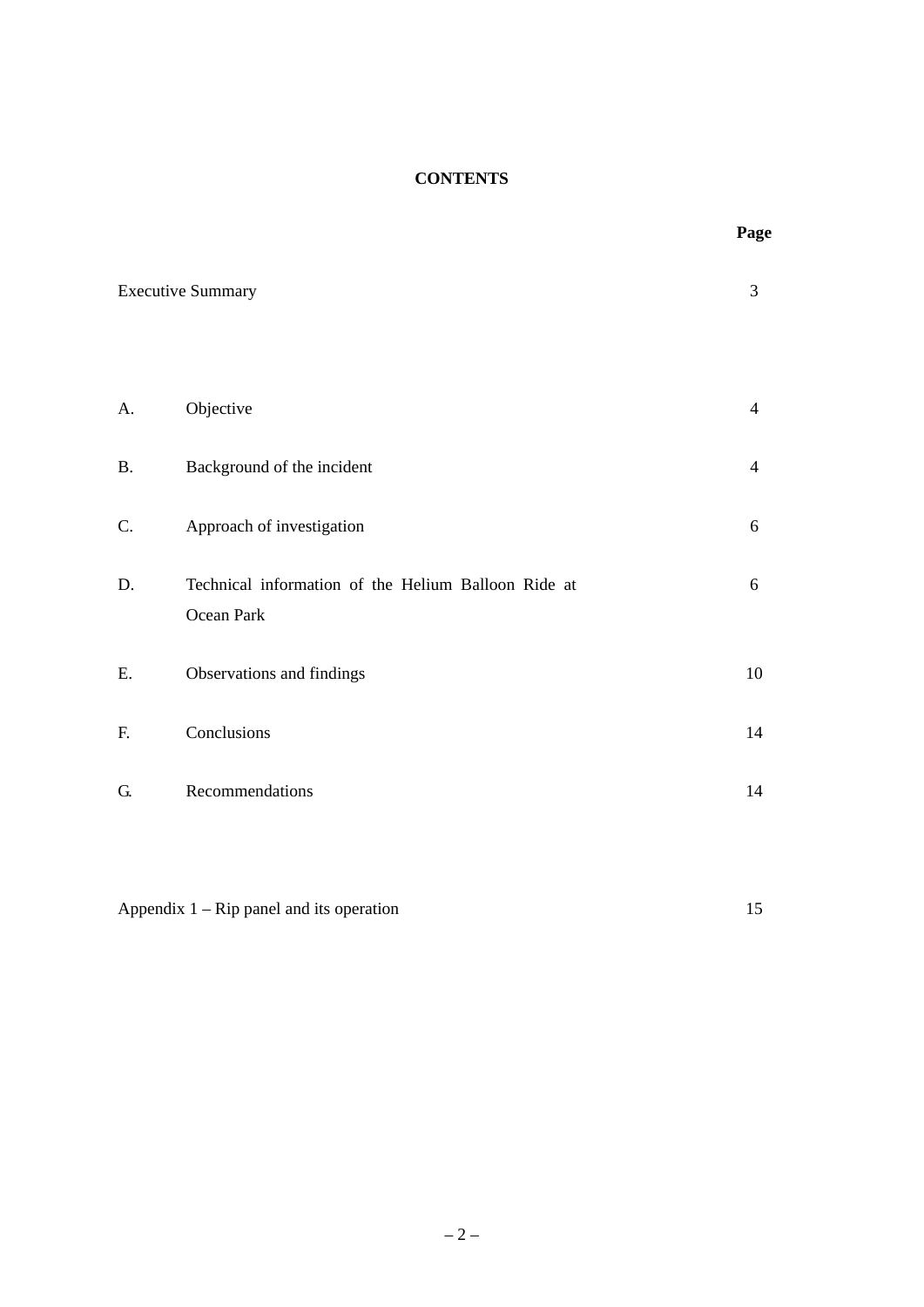### **CONTENTS**

 **Page** 

|    | <b>Executive Summary</b>                                          | 3              |
|----|-------------------------------------------------------------------|----------------|
| A. | Objective                                                         | $\overline{4}$ |
| B. | Background of the incident                                        | $\overline{4}$ |
| C. | Approach of investigation                                         | 6              |
| D. | Technical information of the Helium Balloon Ride at<br>Ocean Park | 6              |
| E. | Observations and findings                                         | $10\,$         |
| F. | Conclusions                                                       | 14             |
| G. | Recommendations                                                   | 14             |
|    |                                                                   |                |

Appendix 1 – Rip panel and its operation 15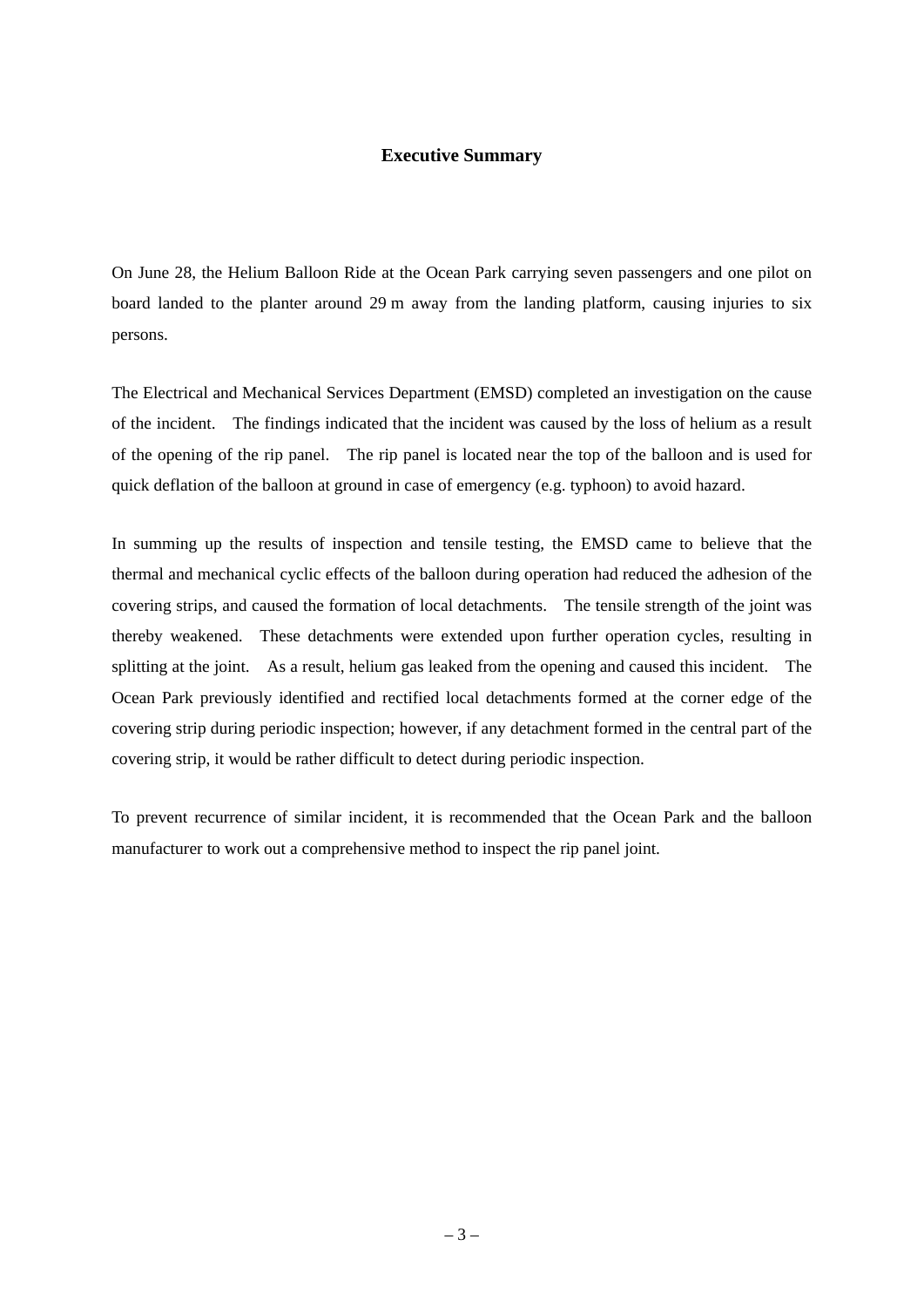#### **Executive Summary**

On June 28, the Helium Balloon Ride at the Ocean Park carrying seven passengers and one pilot on board landed to the planter around 29 m away from the landing platform, causing injuries to six persons.

The Electrical and Mechanical Services Department (EMSD) completed an investigation on the cause of the incident. The findings indicated that the incident was caused by the loss of helium as a result of the opening of the rip panel. The rip panel is located near the top of the balloon and is used for quick deflation of the balloon at ground in case of emergency (e.g. typhoon) to avoid hazard.

In summing up the results of inspection and tensile testing, the EMSD came to believe that the thermal and mechanical cyclic effects of the balloon during operation had reduced the adhesion of the covering strips, and caused the formation of local detachments. The tensile strength of the joint was thereby weakened. These detachments were extended upon further operation cycles, resulting in splitting at the joint. As a result, helium gas leaked from the opening and caused this incident. The Ocean Park previously identified and rectified local detachments formed at the corner edge of the covering strip during periodic inspection; however, if any detachment formed in the central part of the covering strip, it would be rather difficult to detect during periodic inspection.

To prevent recurrence of similar incident, it is recommended that the Ocean Park and the balloon manufacturer to work out a comprehensive method to inspect the rip panel joint.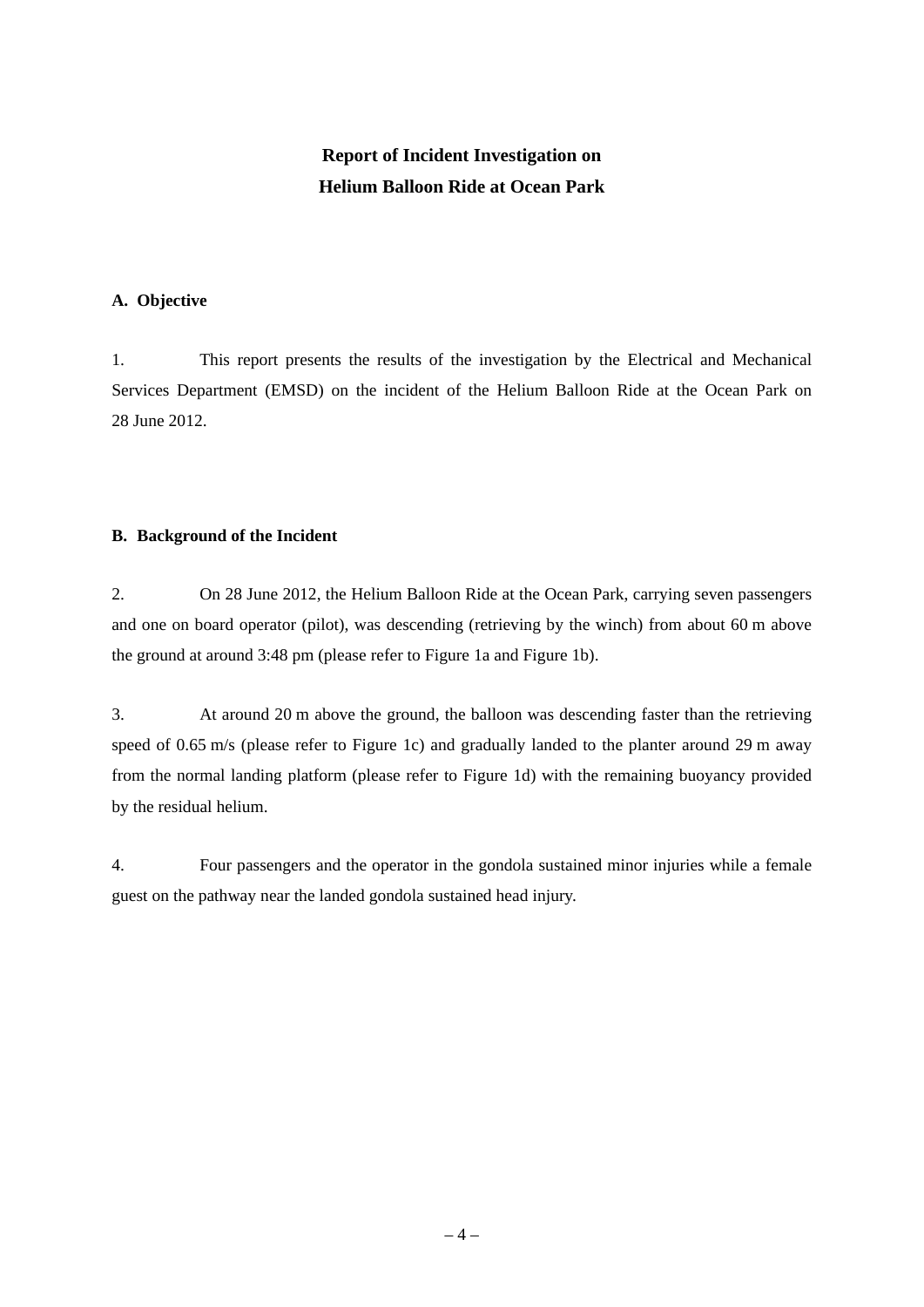# **Report of Incident Investigation on Helium Balloon Ride at Ocean Park**

#### **A. Objective**

1. This report presents the results of the investigation by the Electrical and Mechanical Services Department (EMSD) on the incident of the Helium Balloon Ride at the Ocean Park on 28 June 2012.

#### **B. Background of the Incident**

2. On 28 June 2012, the Helium Balloon Ride at the Ocean Park, carrying seven passengers and one on board operator (pilot), was descending (retrieving by the winch) from about 60 m above the ground at around 3:48 pm (please refer to Figure 1a and Figure 1b).

3. At around 20 m above the ground, the balloon was descending faster than the retrieving speed of 0.65 m/s (please refer to Figure 1c) and gradually landed to the planter around 29 m away from the normal landing platform (please refer to Figure 1d) with the remaining buoyancy provided by the residual helium.

4. Four passengers and the operator in the gondola sustained minor injuries while a female guest on the pathway near the landed gondola sustained head injury.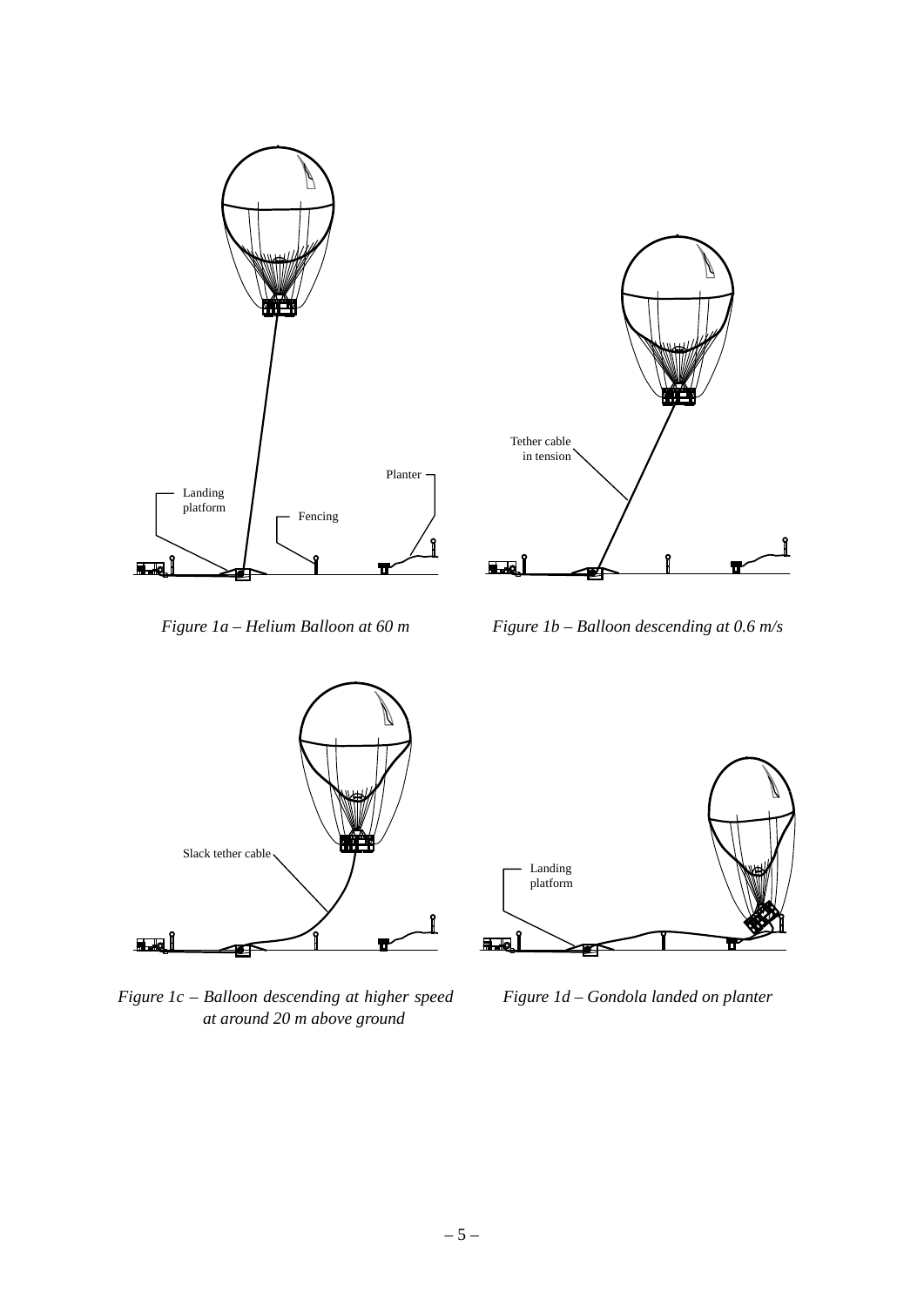



*Figure 1a – Helium Balloon at 60 m Figure 1b – Balloon descending at 0.6 m/s*



*Figure 1c – Balloon descending at higher speed at around 20 m above ground*



*Figure 1d – Gondola landed on planter*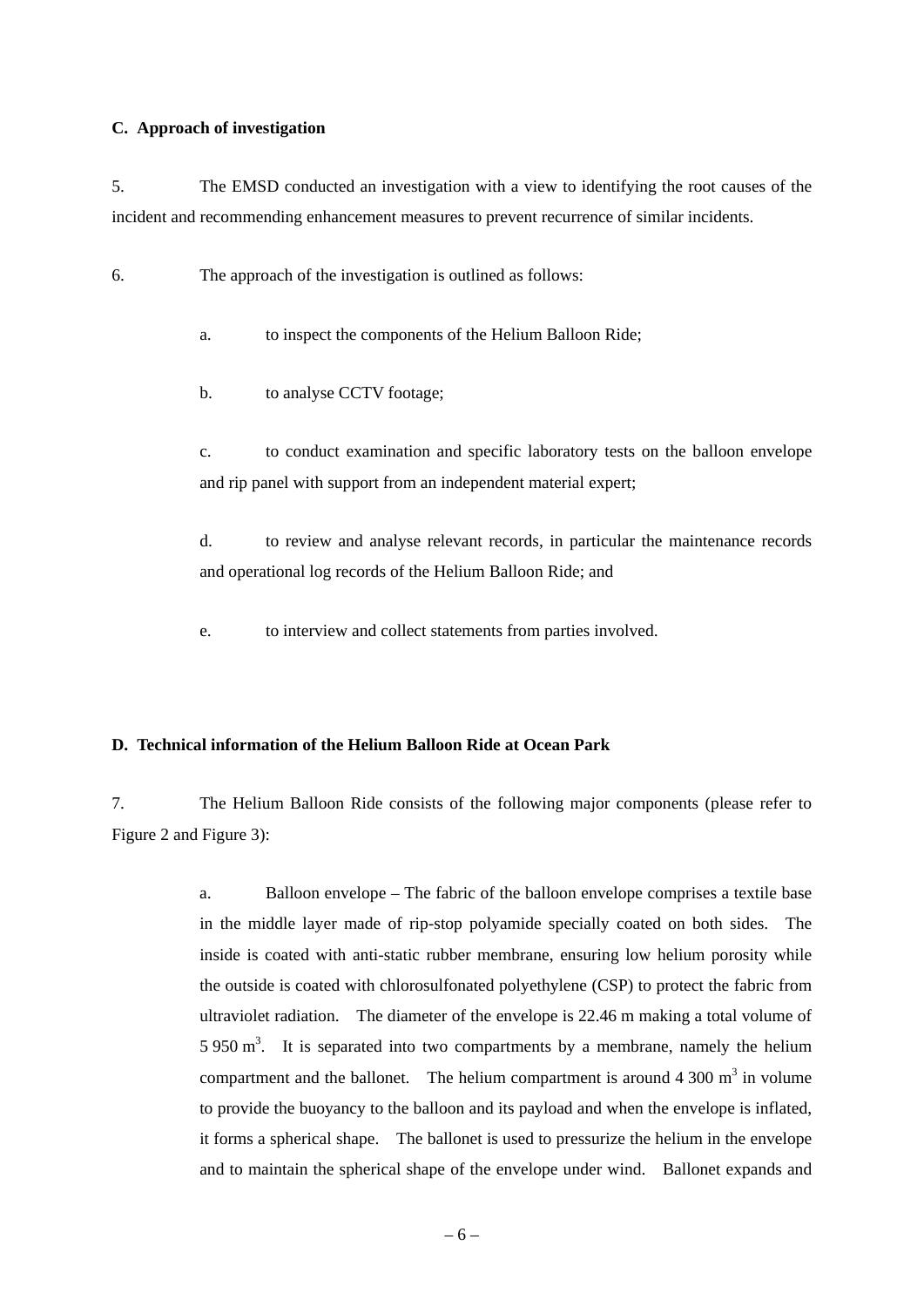#### **C. Approach of investigation**

5. The EMSD conducted an investigation with a view to identifying the root causes of the incident and recommending enhancement measures to prevent recurrence of similar incidents.

6. The approach of the investigation is outlined as follows:

a. to inspect the components of the Helium Balloon Ride;

b. to analyse CCTV footage;

c. to conduct examination and specific laboratory tests on the balloon envelope and rip panel with support from an independent material expert;

d. to review and analyse relevant records, in particular the maintenance records and operational log records of the Helium Balloon Ride; and

e. to interview and collect statements from parties involved.

#### **D. Technical information of the Helium Balloon Ride at Ocean Park**

7. The Helium Balloon Ride consists of the following major components (please refer to Figure 2 and Figure 3):

> a. Balloon envelope – The fabric of the balloon envelope comprises a textile base in the middle layer made of rip-stop polyamide specially coated on both sides. The inside is coated with anti-static rubber membrane, ensuring low helium porosity while the outside is coated with chlorosulfonated polyethylene (CSP) to protect the fabric from ultraviolet radiation. The diameter of the envelope is 22.46 m making a total volume of 5 950  $\text{m}^3$ . It is separated into two compartments by a membrane, namely the helium compartment and the ballonet. The helium compartment is around  $4\,300 \text{ m}^3$  in volume to provide the buoyancy to the balloon and its payload and when the envelope is inflated, it forms a spherical shape. The ballonet is used to pressurize the helium in the envelope and to maintain the spherical shape of the envelope under wind. Ballonet expands and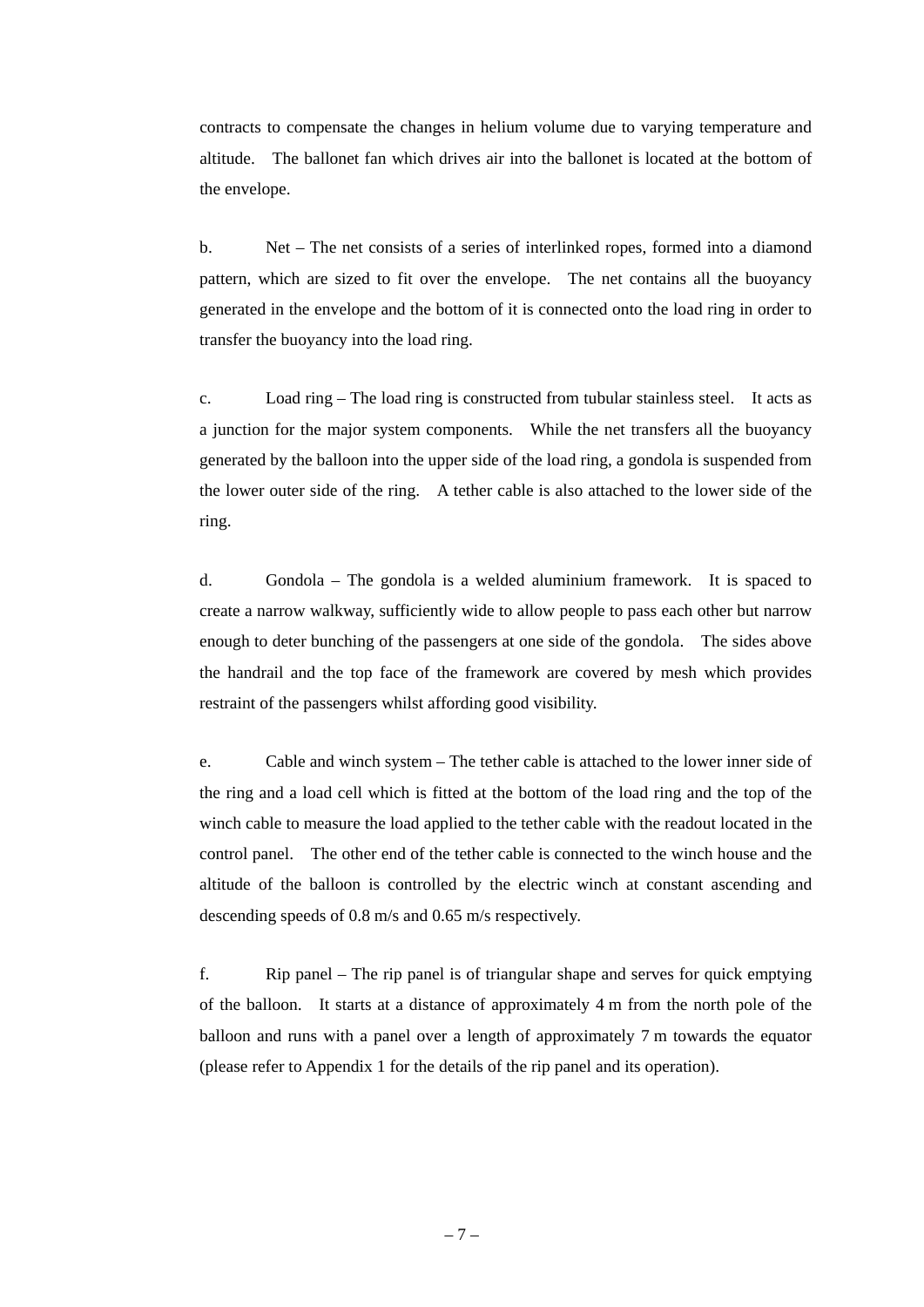contracts to compensate the changes in helium volume due to varying temperature and altitude. The ballonet fan which drives air into the ballonet is located at the bottom of the envelope.

b. Net – The net consists of a series of interlinked ropes, formed into a diamond pattern, which are sized to fit over the envelope. The net contains all the buoyancy generated in the envelope and the bottom of it is connected onto the load ring in order to transfer the buoyancy into the load ring.

c. Load ring – The load ring is constructed from tubular stainless steel. It acts as a junction for the major system components. While the net transfers all the buoyancy generated by the balloon into the upper side of the load ring, a gondola is suspended from the lower outer side of the ring. A tether cable is also attached to the lower side of the ring.

d. Gondola – The gondola is a welded aluminium framework. It is spaced to create a narrow walkway, sufficiently wide to allow people to pass each other but narrow enough to deter bunching of the passengers at one side of the gondola. The sides above the handrail and the top face of the framework are covered by mesh which provides restraint of the passengers whilst affording good visibility.

e. Cable and winch system – The tether cable is attached to the lower inner side of the ring and a load cell which is fitted at the bottom of the load ring and the top of the winch cable to measure the load applied to the tether cable with the readout located in the control panel. The other end of the tether cable is connected to the winch house and the altitude of the balloon is controlled by the electric winch at constant ascending and descending speeds of 0.8 m/s and 0.65 m/s respectively.

f. Rip panel – The rip panel is of triangular shape and serves for quick emptying of the balloon. It starts at a distance of approximately 4 m from the north pole of the balloon and runs with a panel over a length of approximately 7 m towards the equator (please refer to Appendix 1 for the details of the rip panel and its operation).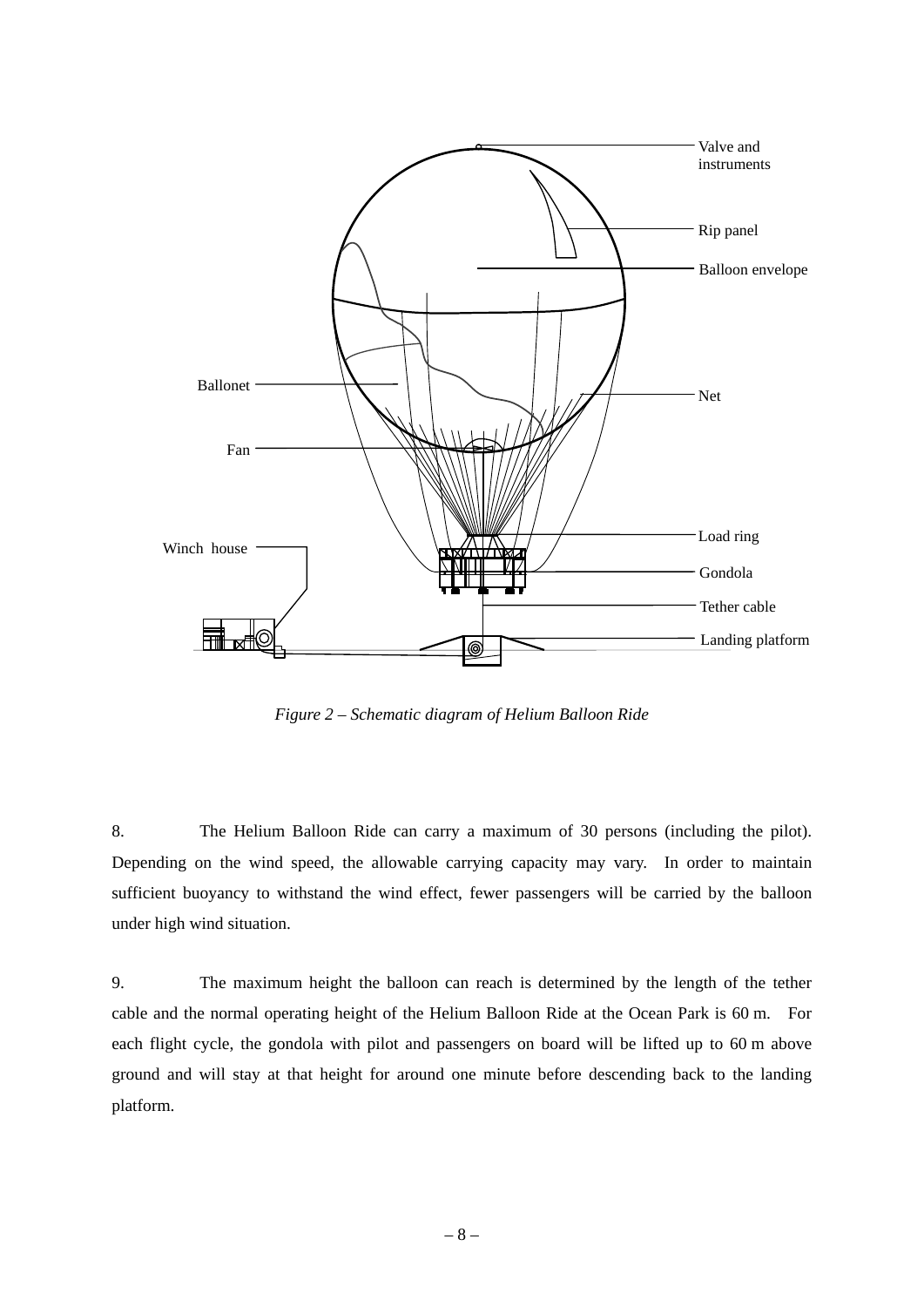

*Figure 2 – Schematic diagram of Helium Balloon Ride* 

8. The Helium Balloon Ride can carry a maximum of 30 persons (including the pilot). Depending on the wind speed, the allowable carrying capacity may vary. In order to maintain sufficient buoyancy to withstand the wind effect, fewer passengers will be carried by the balloon under high wind situation.

9. The maximum height the balloon can reach is determined by the length of the tether cable and the normal operating height of the Helium Balloon Ride at the Ocean Park is 60 m. For each flight cycle, the gondola with pilot and passengers on board will be lifted up to 60 m above ground and will stay at that height for around one minute before descending back to the landing platform.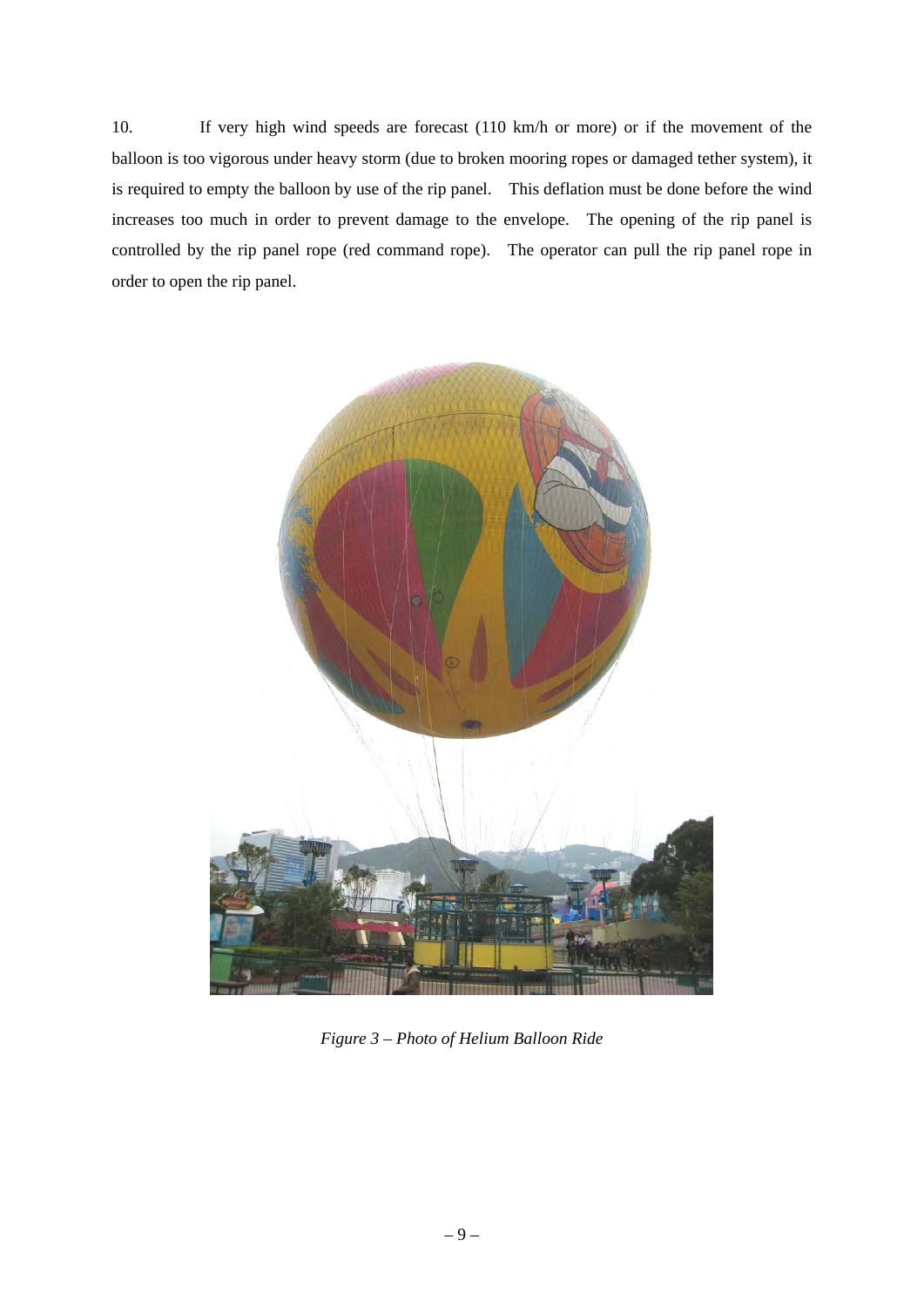10. If very high wind speeds are forecast (110 km/h or more) or if the movement of the balloon is too vigorous under heavy storm (due to broken mooring ropes or damaged tether system), it is required to empty the balloon by use of the rip panel. This deflation must be done before the wind increases too much in order to prevent damage to the envelope. The opening of the rip panel is controlled by the rip panel rope (red command rope). The operator can pull the rip panel rope in order to open the rip panel.



*Figure 3 – Photo of Helium Balloon Ride*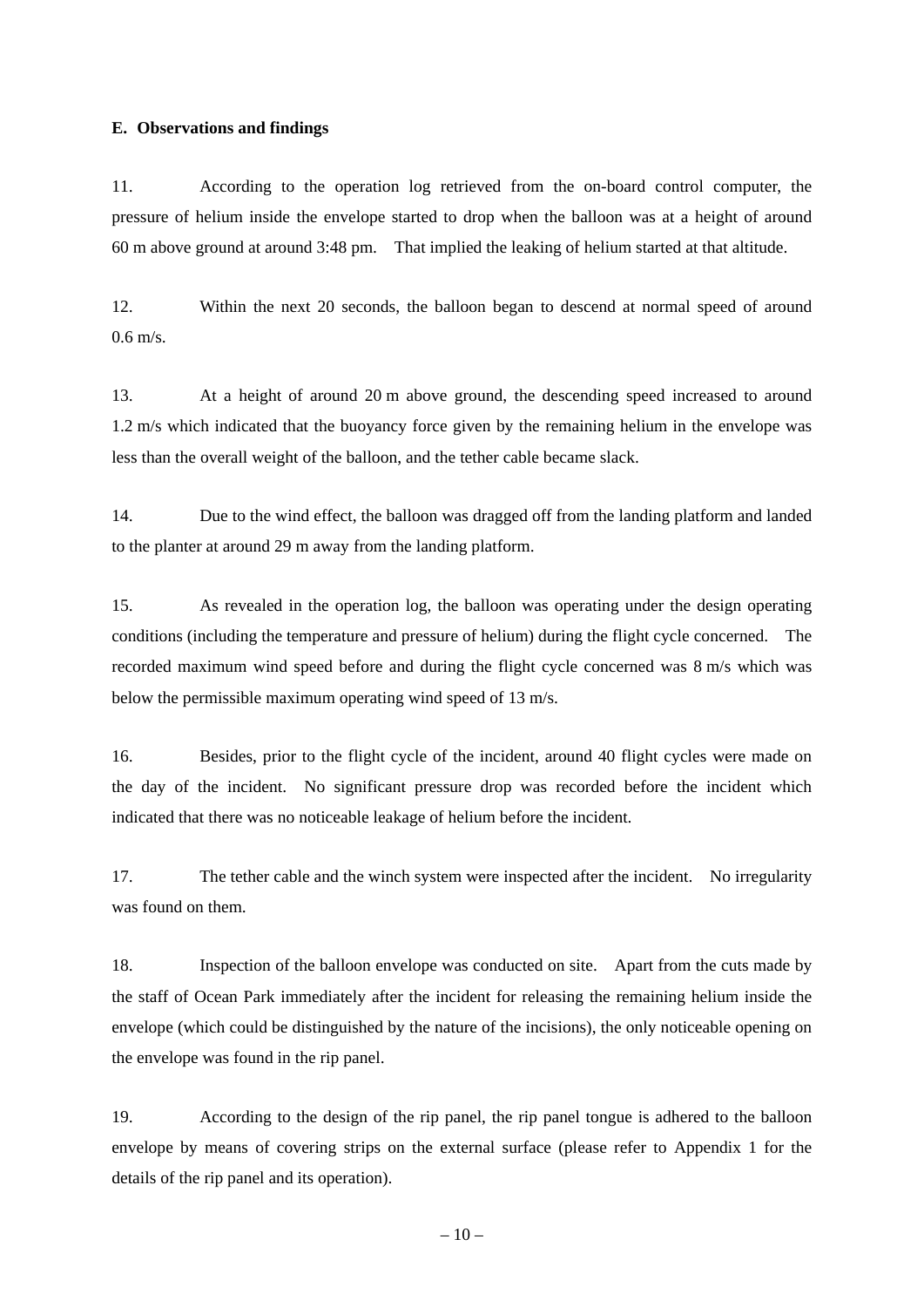#### **E. Observations and findings**

11. According to the operation log retrieved from the on-board control computer, the pressure of helium inside the envelope started to drop when the balloon was at a height of around 60 m above ground at around 3:48 pm. That implied the leaking of helium started at that altitude.

12. Within the next 20 seconds, the balloon began to descend at normal speed of around  $0.6$  m/s.

13. At a height of around 20 m above ground, the descending speed increased to around 1.2 m/s which indicated that the buoyancy force given by the remaining helium in the envelope was less than the overall weight of the balloon, and the tether cable became slack.

14. Due to the wind effect, the balloon was dragged off from the landing platform and landed to the planter at around 29 m away from the landing platform.

15. As revealed in the operation log, the balloon was operating under the design operating conditions (including the temperature and pressure of helium) during the flight cycle concerned. The recorded maximum wind speed before and during the flight cycle concerned was 8 m/s which was below the permissible maximum operating wind speed of 13 m/s.

16. Besides, prior to the flight cycle of the incident, around 40 flight cycles were made on the day of the incident. No significant pressure drop was recorded before the incident which indicated that there was no noticeable leakage of helium before the incident.

17. The tether cable and the winch system were inspected after the incident. No irregularity was found on them.

18. Inspection of the balloon envelope was conducted on site. Apart from the cuts made by the staff of Ocean Park immediately after the incident for releasing the remaining helium inside the envelope (which could be distinguished by the nature of the incisions), the only noticeable opening on the envelope was found in the rip panel.

19. According to the design of the rip panel, the rip panel tongue is adhered to the balloon envelope by means of covering strips on the external surface (please refer to Appendix 1 for the details of the rip panel and its operation).

 $-10-$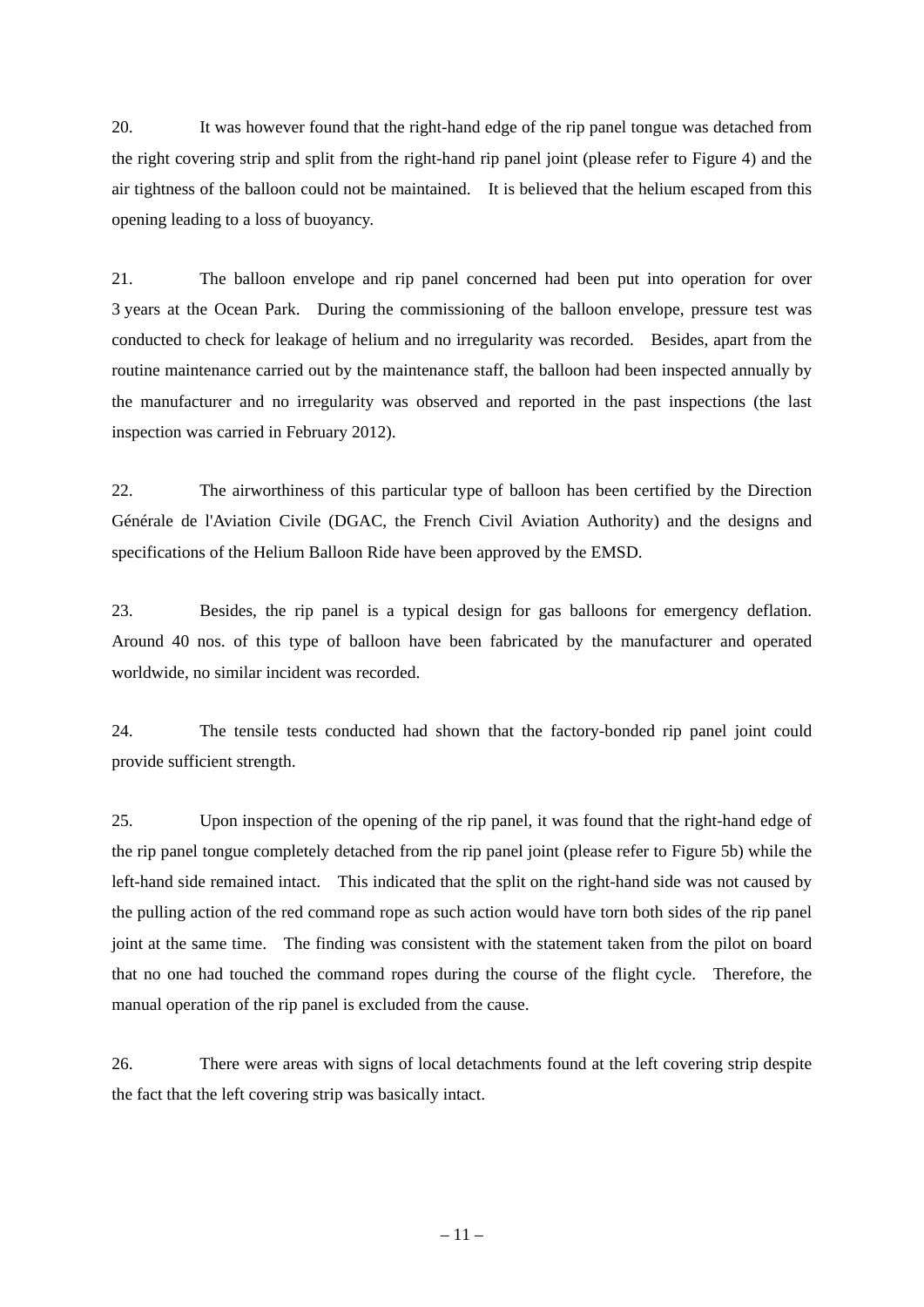20. It was however found that the right-hand edge of the rip panel tongue was detached from the right covering strip and split from the right-hand rip panel joint (please refer to Figure 4) and the air tightness of the balloon could not be maintained. It is believed that the helium escaped from this opening leading to a loss of buoyancy.

21. The balloon envelope and rip panel concerned had been put into operation for over 3 years at the Ocean Park. During the commissioning of the balloon envelope, pressure test was conducted to check for leakage of helium and no irregularity was recorded. Besides, apart from the routine maintenance carried out by the maintenance staff, the balloon had been inspected annually by the manufacturer and no irregularity was observed and reported in the past inspections (the last inspection was carried in February 2012).

22. The airworthiness of this particular type of balloon has been certified by the Direction Générale de l'Aviation Civile (DGAC, the French Civil Aviation Authority) and the designs and specifications of the Helium Balloon Ride have been approved by the EMSD.

23. Besides, the rip panel is a typical design for gas balloons for emergency deflation. Around 40 nos. of this type of balloon have been fabricated by the manufacturer and operated worldwide, no similar incident was recorded.

24. The tensile tests conducted had shown that the factory-bonded rip panel joint could provide sufficient strength.

25. Upon inspection of the opening of the rip panel, it was found that the right-hand edge of the rip panel tongue completely detached from the rip panel joint (please refer to Figure 5b) while the left-hand side remained intact. This indicated that the split on the right-hand side was not caused by the pulling action of the red command rope as such action would have torn both sides of the rip panel joint at the same time. The finding was consistent with the statement taken from the pilot on board that no one had touched the command ropes during the course of the flight cycle. Therefore, the manual operation of the rip panel is excluded from the cause.

26. There were areas with signs of local detachments found at the left covering strip despite the fact that the left covering strip was basically intact.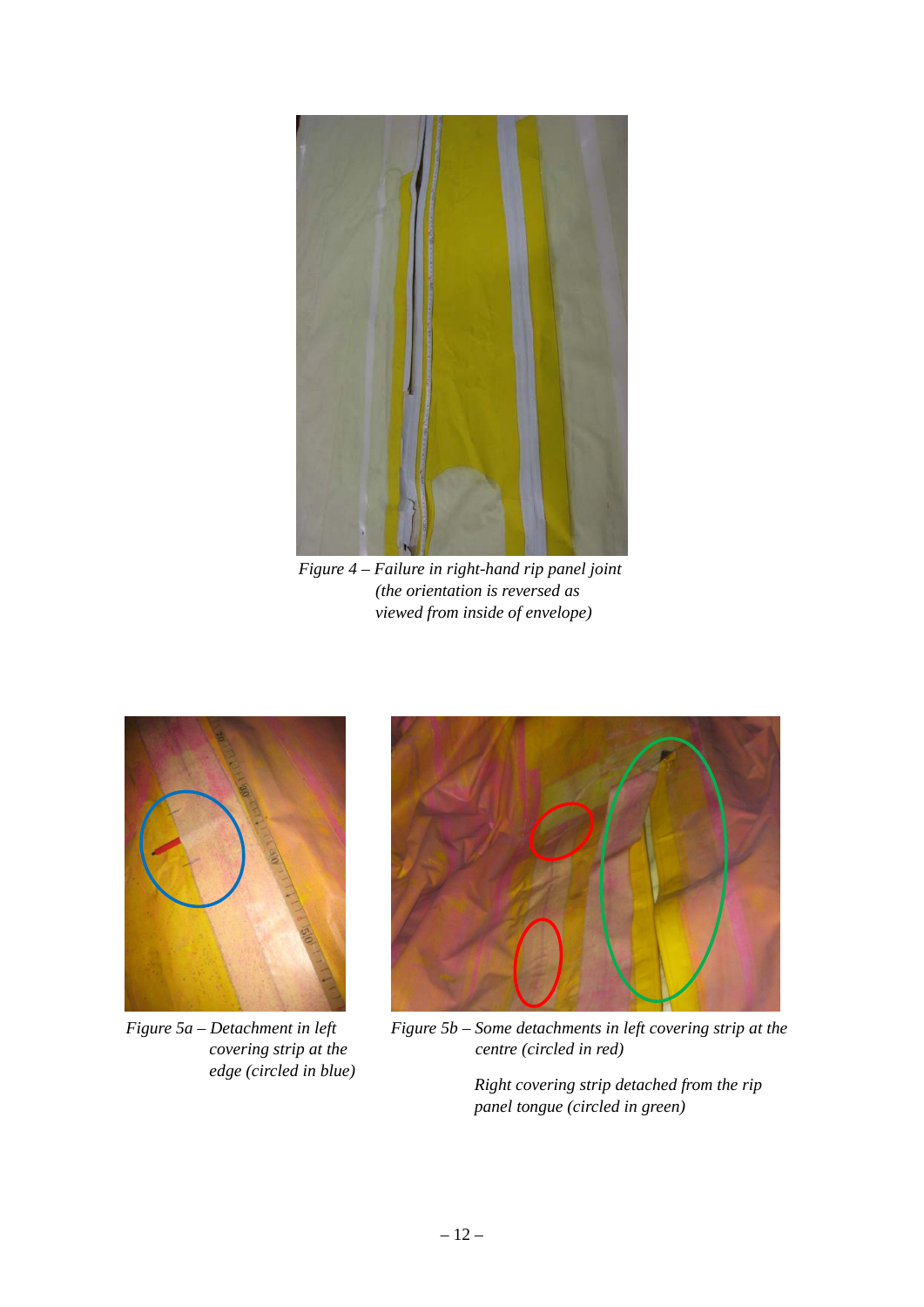

*Figure 4 – Failure in right-hand rip panel joint (the orientation is reversed as viewed from inside of envelope)* 



*Figure 5a – Detachment in left covering strip at the edge (circled in blue)* 



*Figure 5b – Some detachments in left covering strip at the centre (circled in red)* 

*Right covering strip detached from the rip panel tongue (circled in green)*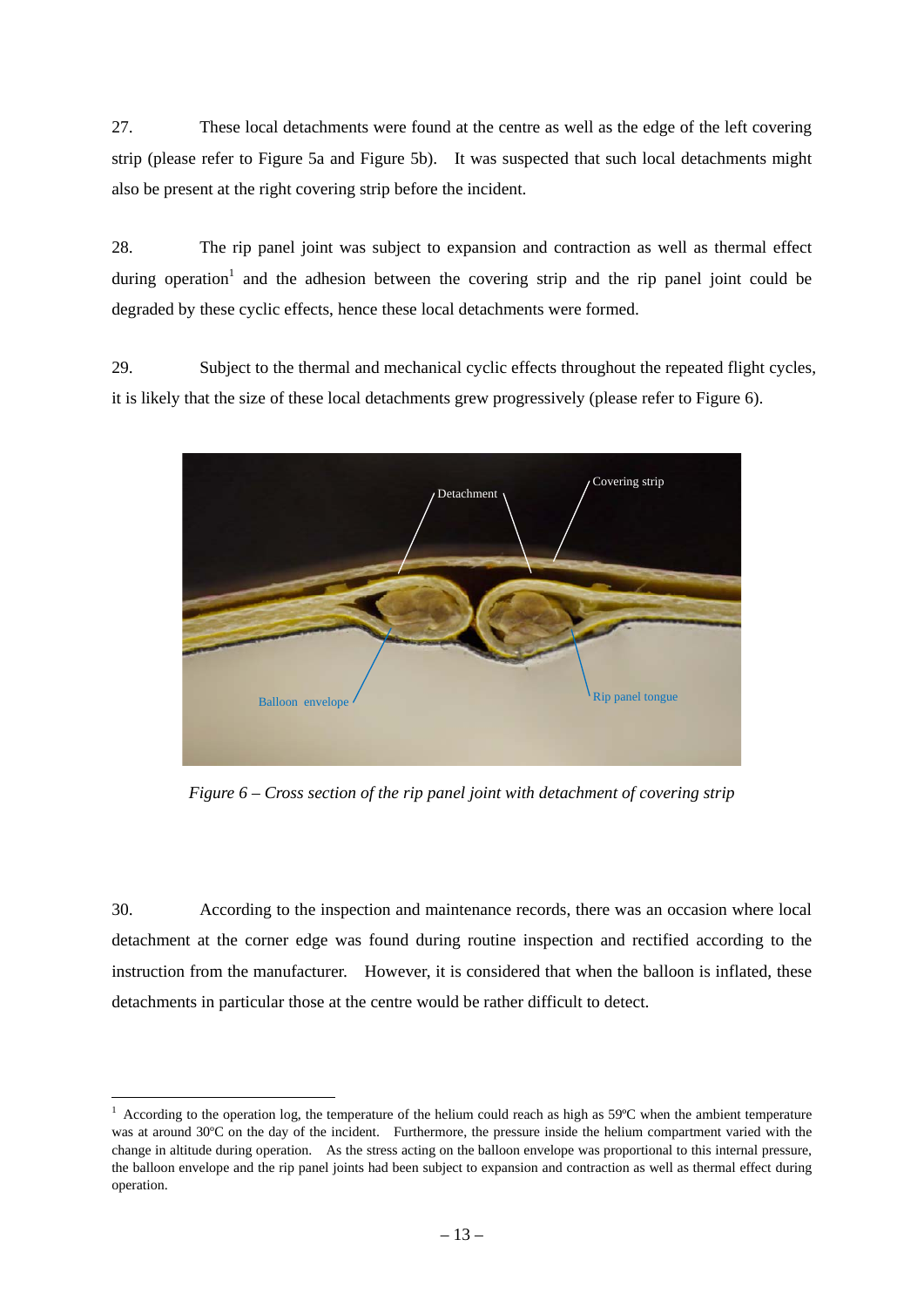27. These local detachments were found at the centre as well as the edge of the left covering strip (please refer to Figure 5a and Figure 5b). It was suspected that such local detachments might also be present at the right covering strip before the incident.

28. The rip panel joint was subject to expansion and contraction as well as thermal effect during operation<sup>1</sup> and the adhesion between the covering strip and the rip panel joint could be degraded by these cyclic effects, hence these local detachments were formed.

29. Subject to the thermal and mechanical cyclic effects throughout the repeated flight cycles, it is likely that the size of these local detachments grew progressively (please refer to Figure 6).



*Figure 6 – Cross section of the rip panel joint with detachment of covering strip* 

30. According to the inspection and maintenance records, there was an occasion where local detachment at the corner edge was found during routine inspection and rectified according to the instruction from the manufacturer. However, it is considered that when the balloon is inflated, these detachments in particular those at the centre would be rather difficult to detect.

 1 According to the operation log, the temperature of the helium could reach as high as 59ºC when the ambient temperature was at around 30°C on the day of the incident. Furthermore, the pressure inside the helium compartment varied with the change in altitude during operation. As the stress acting on the balloon envelope was proportional to this internal pressure, the balloon envelope and the rip panel joints had been subject to expansion and contraction as well as thermal effect during operation.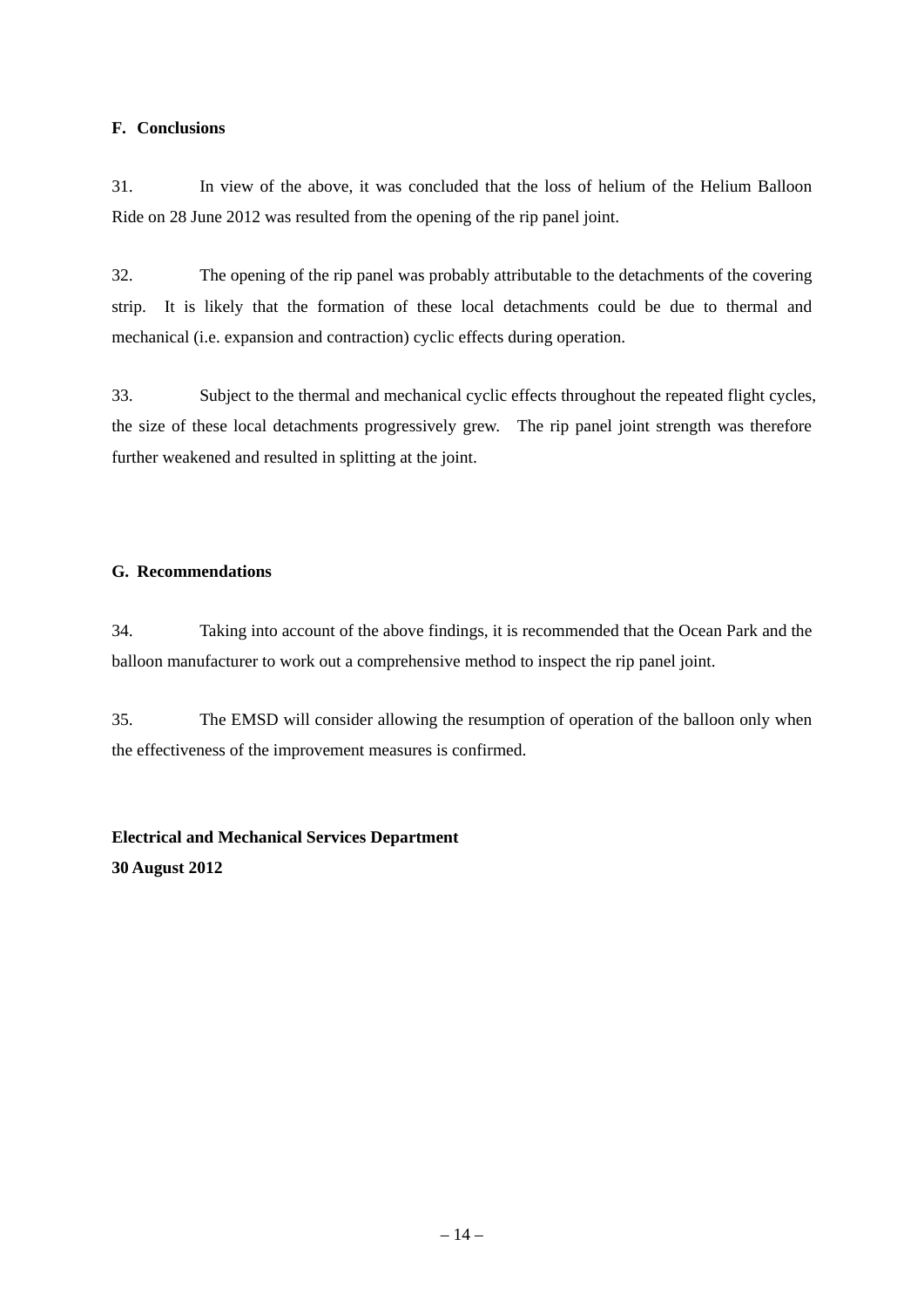#### **F. Conclusions**

31. In view of the above, it was concluded that the loss of helium of the Helium Balloon Ride on 28 June 2012 was resulted from the opening of the rip panel joint.

32. The opening of the rip panel was probably attributable to the detachments of the covering strip. It is likely that the formation of these local detachments could be due to thermal and mechanical (i.e. expansion and contraction) cyclic effects during operation.

33. Subject to the thermal and mechanical cyclic effects throughout the repeated flight cycles, the size of these local detachments progressively grew. The rip panel joint strength was therefore further weakened and resulted in splitting at the joint.

#### **G. Recommendations**

34. Taking into account of the above findings, it is recommended that the Ocean Park and the balloon manufacturer to work out a comprehensive method to inspect the rip panel joint.

35. The EMSD will consider allowing the resumption of operation of the balloon only when the effectiveness of the improvement measures is confirmed.

# **Electrical and Mechanical Services Department 30 August 2012**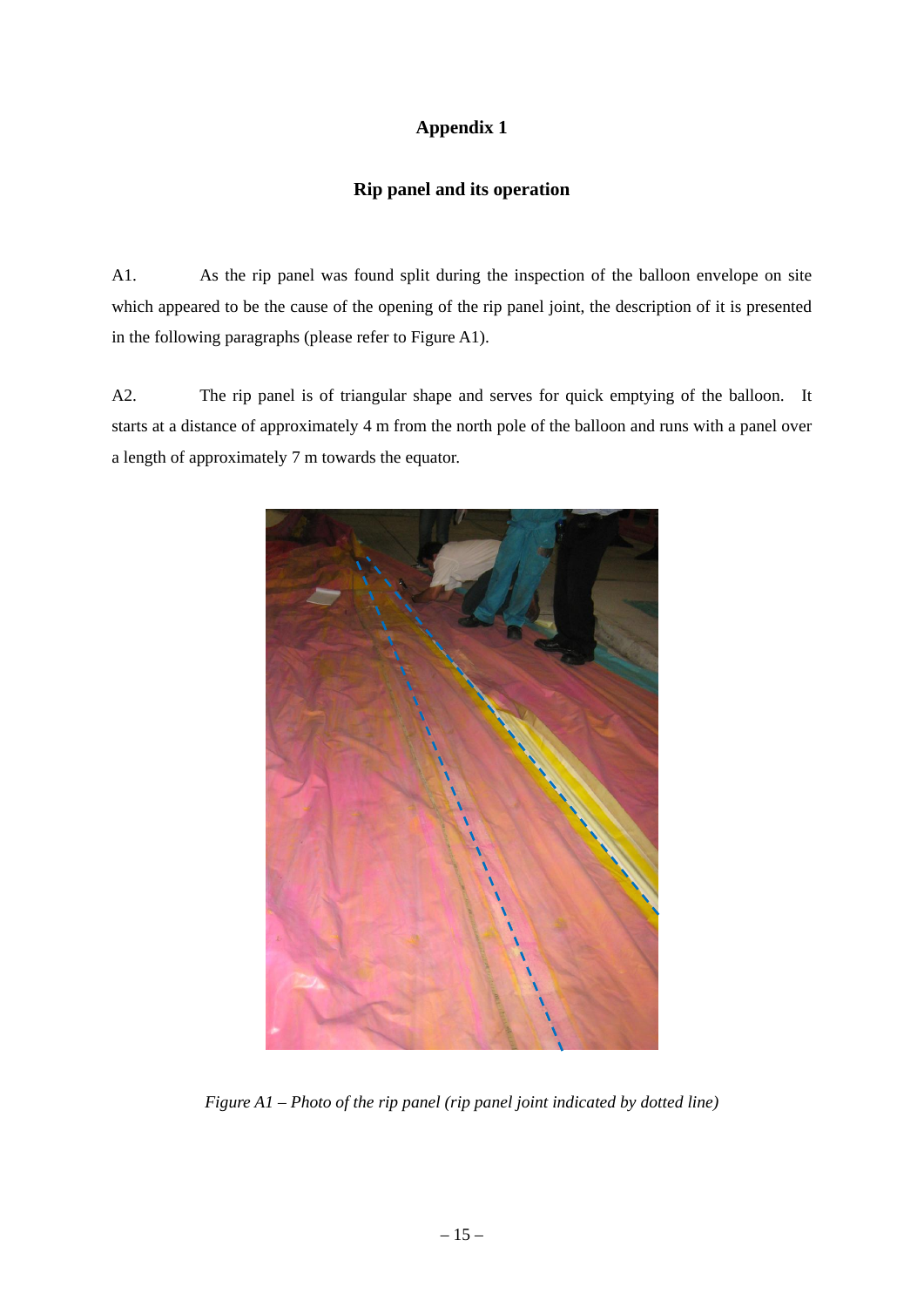## **Appendix 1**

### **Rip panel and its operation**

A1. As the rip panel was found split during the inspection of the balloon envelope on site which appeared to be the cause of the opening of the rip panel joint, the description of it is presented in the following paragraphs (please refer to Figure A1).

A2. The rip panel is of triangular shape and serves for quick emptying of the balloon. It starts at a distance of approximately 4 m from the north pole of the balloon and runs with a panel over a length of approximately 7 m towards the equator.



*Figure A1 – Photo of the rip panel (rip panel joint indicated by dotted line)*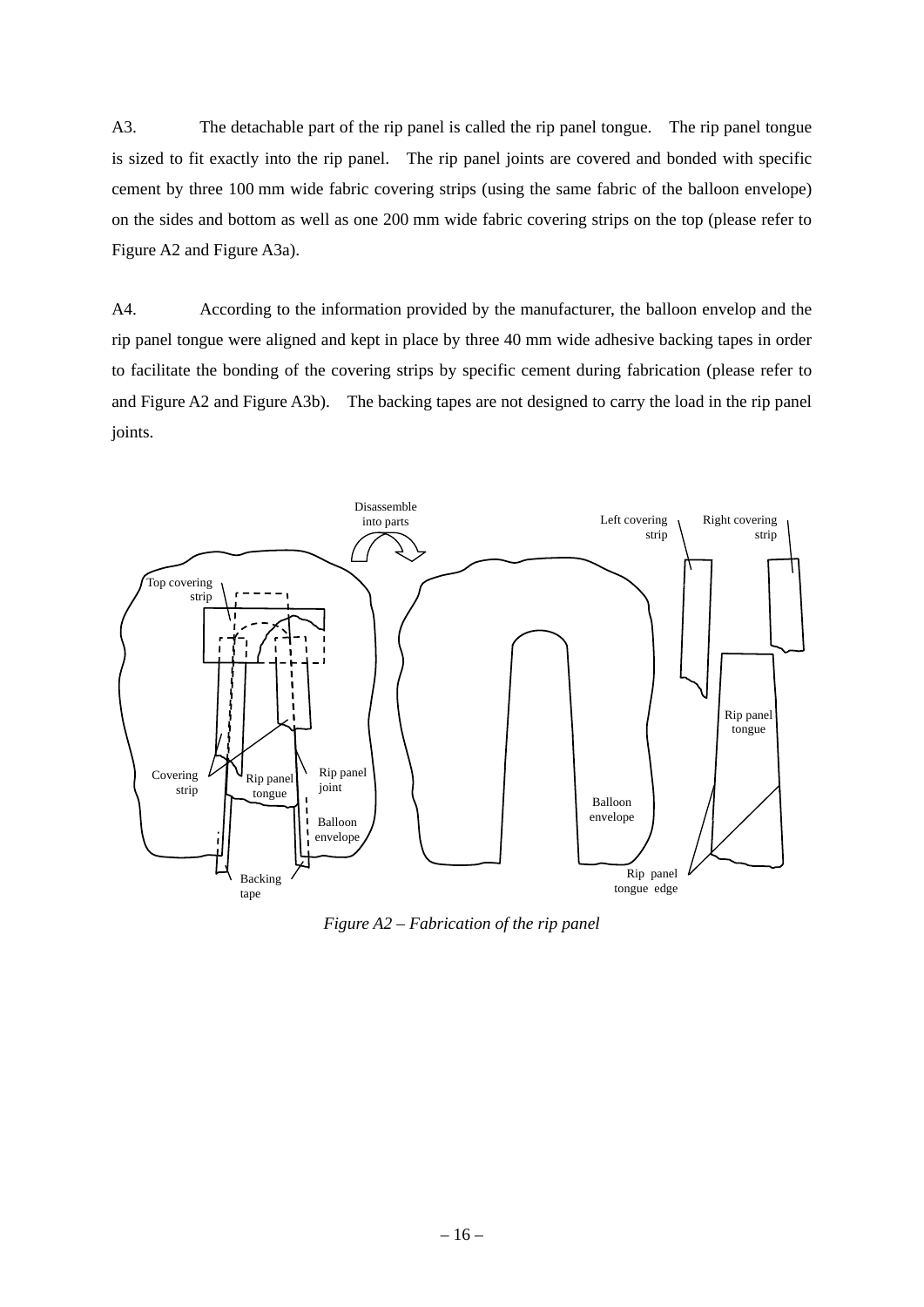A3. The detachable part of the rip panel is called the rip panel tongue. The rip panel tongue is sized to fit exactly into the rip panel. The rip panel joints are covered and bonded with specific cement by three 100 mm wide fabric covering strips (using the same fabric of the balloon envelope) on the sides and bottom as well as one 200 mm wide fabric covering strips on the top (please refer to Figure A2 and Figure A3a).

A4. According to the information provided by the manufacturer, the balloon envelop and the rip panel tongue were aligned and kept in place by three 40 mm wide adhesive backing tapes in order to facilitate the bonding of the covering strips by specific cement during fabrication (please refer to and Figure A2 and Figure A3b). The backing tapes are not designed to carry the load in the rip panel joints.



*Figure A2 – Fabrication of the rip panel*